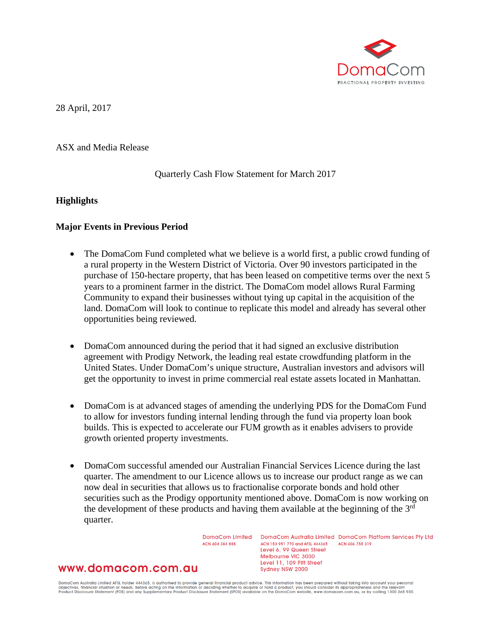

28 April, 2017

ASX and Media Release

Quarterly Cash Flow Statement for March 2017

## **Highlights**

## **Major Events in Previous Period**

- The DomaCom Fund completed what we believe is a world first, a public crowd funding of a rural property in the Western District of Victoria. Over 90 investors participated in the purchase of 150-hectare property, that has been leased on competitive terms over the next 5 years to a prominent farmer in the district. The DomaCom model allows Rural Farming Community to expand their businesses without tying up capital in the acquisition of the land. DomaCom will look to continue to replicate this model and already has several other opportunities being reviewed.
- DomaCom announced during the period that it had signed an exclusive distribution agreement with Prodigy Network, the leading real estate crowdfunding platform in the United States. Under DomaCom's unique structure, Australian investors and advisors will get the opportunity to invest in prime commercial real estate assets located in Manhattan.
- DomaCom is at advanced stages of amending the underlying PDS for the DomaCom Fund to allow for investors funding internal lending through the fund via property loan book builds. This is expected to accelerate our FUM growth as it enables advisers to provide growth oriented property investments.
- DomaCom successful amended our Australian Financial Services Licence during the last quarter. The amendment to our Licence allows us to increase our product range as we can now deal in securities that allows us to fractionalise corporate bonds and hold other securities such as the Prodigy opportunity mentioned above. DomaCom is now working on the development of these products and having them available at the beginning of the 3<sup>rd</sup> quarter.

DomaCom Limited ACN 604 384 885

DomgCom Australia Limited DomgCom Platform Services Pty Ltd ACN 153 951 770 and AFSL 444365 ACN 606 755 319 Level 6, 99 Queen Street Melbourne VIC 3000 Level 11, 109 Pitt Street Sydney NSW 2000

# www.domacom.com.au

DomaCom Australia Limited AFSL holder 444365, is authorised to provide general financial product advice. This information has been prepared without taking into account your personal<br>objectives, financial situation or needs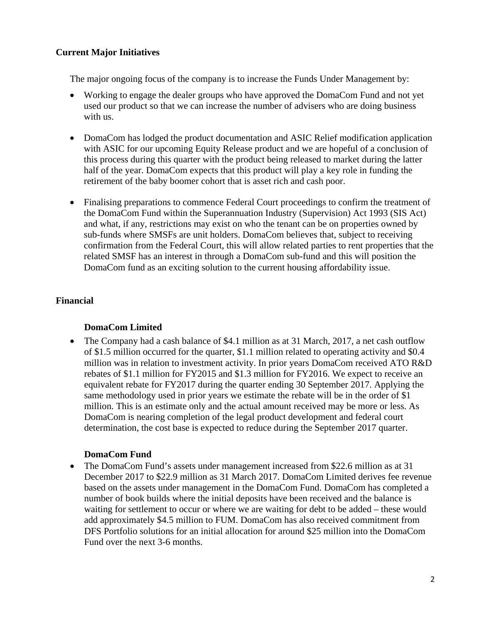# **Current Major Initiatives**

The major ongoing focus of the company is to increase the Funds Under Management by:

- Working to engage the dealer groups who have approved the DomaCom Fund and not yet used our product so that we can increase the number of advisers who are doing business with us.
- DomaCom has lodged the product documentation and ASIC Relief modification application with ASIC for our upcoming Equity Release product and we are hopeful of a conclusion of this process during this quarter with the product being released to market during the latter half of the year. DomaCom expects that this product will play a key role in funding the retirement of the baby boomer cohort that is asset rich and cash poor.
- Finalising preparations to commence Federal Court proceedings to confirm the treatment of the DomaCom Fund within the Superannuation Industry (Supervision) Act 1993 (SIS Act) and what, if any, restrictions may exist on who the tenant can be on properties owned by sub-funds where SMSFs are unit holders. DomaCom believes that, subject to receiving confirmation from the Federal Court, this will allow related parties to rent properties that the related SMSF has an interest in through a DomaCom sub-fund and this will position the DomaCom fund as an exciting solution to the current housing affordability issue.

# **Financial**

# **DomaCom Limited**

• The Company had a cash balance of \$4.1 million as at 31 March, 2017, a net cash outflow of \$1.5 million occurred for the quarter, \$1.1 million related to operating activity and \$0.4 million was in relation to investment activity. In prior years DomaCom received ATO R&D rebates of \$1.1 million for FY2015 and \$1.3 million for FY2016. We expect to receive an equivalent rebate for FY2017 during the quarter ending 30 September 2017. Applying the same methodology used in prior years we estimate the rebate will be in the order of \$1 million. This is an estimate only and the actual amount received may be more or less. As DomaCom is nearing completion of the legal product development and federal court determination, the cost base is expected to reduce during the September 2017 quarter.

# **DomaCom Fund**

• The DomaCom Fund's assets under management increased from \$22.6 million as at 31 December 2017 to \$22.9 million as 31 March 2017. DomaCom Limited derives fee revenue based on the assets under management in the DomaCom Fund. DomaCom has completed a number of book builds where the initial deposits have been received and the balance is waiting for settlement to occur or where we are waiting for debt to be added – these would add approximately \$4.5 million to FUM. DomaCom has also received commitment from DFS Portfolio solutions for an initial allocation for around \$25 million into the DomaCom Fund over the next 3-6 months.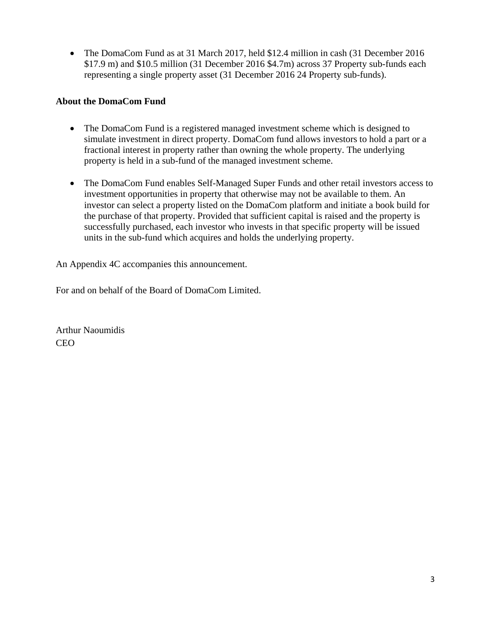• The DomaCom Fund as at 31 March 2017, held \$12.4 million in cash (31 December 2016) \$17.9 m) and \$10.5 million (31 December 2016 \$4.7m) across 37 Property sub-funds each representing a single property asset (31 December 2016 24 Property sub-funds).

# **About the DomaCom Fund**

- The DomaCom Fund is a registered managed investment scheme which is designed to simulate investment in direct property. DomaCom fund allows investors to hold a part or a fractional interest in property rather than owning the whole property. The underlying property is held in a sub-fund of the managed investment scheme.
- The DomaCom Fund enables Self-Managed Super Funds and other retail investors access to investment opportunities in property that otherwise may not be available to them. An investor can select a property listed on the DomaCom platform and initiate a book build for the purchase of that property. Provided that sufficient capital is raised and the property is successfully purchased, each investor who invests in that specific property will be issued units in the sub-fund which acquires and holds the underlying property.

An Appendix 4C accompanies this announcement.

For and on behalf of the Board of DomaCom Limited.

Arthur Naoumidis CEO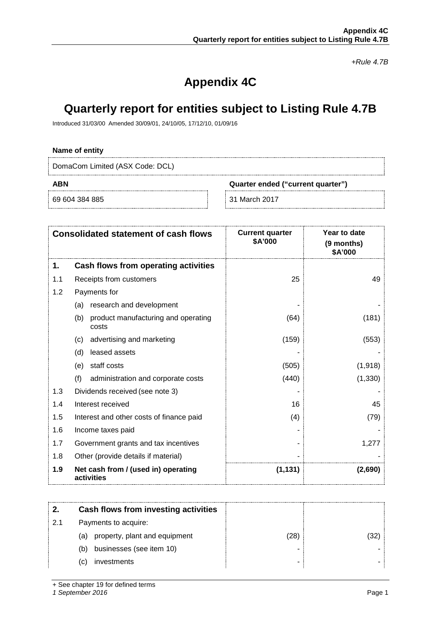*+Rule 4.7B*

# **Appendix 4C**

# **Quarterly report for entities subject to Listing Rule 4.7B**

Introduced 31/03/00 Amended 30/09/01, 24/10/05, 17/12/10, 01/09/16

## **Name of entity**

DomaCom Limited (ASX Code: DCL)

**ABN Quarter ended ("current quarter")**

69 604 384 885 31 March 2017

| <b>Consolidated statement of cash flows</b> |                                                     | <b>Current quarter</b><br>\$A'000 | Year to date<br>(9 months)<br>\$A'000 |
|---------------------------------------------|-----------------------------------------------------|-----------------------------------|---------------------------------------|
| 1.                                          | Cash flows from operating activities                |                                   |                                       |
| 1.1                                         | Receipts from customers                             | 25                                | 49                                    |
| 1.2                                         | Payments for                                        |                                   |                                       |
|                                             | research and development<br>(a)                     |                                   |                                       |
|                                             | (b)<br>product manufacturing and operating<br>costs | (64)                              | (181)                                 |
|                                             | advertising and marketing<br>(c)                    | (159)                             | (553)                                 |
|                                             | leased assets<br>(d)                                |                                   |                                       |
|                                             | staff costs<br>(e)                                  | (505)                             | (1,918)                               |
|                                             | (f)<br>administration and corporate costs           | (440)                             | (1, 330)                              |
| 1.3                                         | Dividends received (see note 3)                     |                                   |                                       |
| 1.4                                         | Interest received                                   | 16                                | 45                                    |
| 1.5                                         | Interest and other costs of finance paid            | (4)                               | (79)                                  |
| 1.6                                         | Income taxes paid                                   |                                   |                                       |
| 1.7                                         | Government grants and tax incentives                |                                   | 1,277                                 |
| 1.8                                         | Other (provide details if material)                 |                                   |                                       |
| 1.9                                         | Net cash from / (used in) operating<br>activities   | (1, 131)                          | (2,690)                               |

|    | Cash flows from investing activities |    |  |
|----|--------------------------------------|----|--|
| 21 | Payments to acquire:                 |    |  |
|    | property, plant and equipment<br>(a) | 28 |  |
|    | businesses (see item 10)<br>(b)      |    |  |
|    | investments<br>(C)                   |    |  |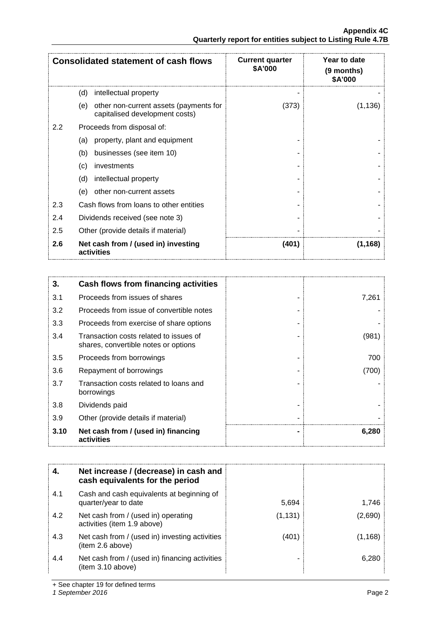|                  | <b>Consolidated statement of cash flows</b>                                     | <b>Current quarter</b><br>\$A'000 | Year to date<br>(9 months)<br>\$A'000 |
|------------------|---------------------------------------------------------------------------------|-----------------------------------|---------------------------------------|
|                  | (d)<br>intellectual property                                                    |                                   |                                       |
|                  | other non-current assets (payments for<br>(e)<br>capitalised development costs) | (373)                             | (1, 136)                              |
| $2.2\phantom{0}$ | Proceeds from disposal of:                                                      |                                   |                                       |
|                  | property, plant and equipment<br>(a)                                            |                                   |                                       |
|                  | businesses (see item 10)<br>(b)                                                 |                                   |                                       |
|                  | investments<br>(c)                                                              |                                   |                                       |
|                  | (d)<br>intellectual property                                                    |                                   |                                       |
|                  | other non-current assets<br>(e)                                                 |                                   |                                       |
| 2.3              | Cash flows from loans to other entities                                         |                                   |                                       |
| 2.4              | Dividends received (see note 3)                                                 |                                   |                                       |
| 2.5              | Other (provide details if material)                                             |                                   |                                       |
| 2.6              | Net cash from / (used in) investing<br>activities                               | (401)                             | (1, 168)                              |

| 3.   | Cash flows from financing activities                                           |       |
|------|--------------------------------------------------------------------------------|-------|
| 3.1  | Proceeds from issues of shares                                                 | 7,261 |
| 3.2  | Proceeds from issue of convertible notes                                       |       |
| 3.3  | Proceeds from exercise of share options                                        |       |
| 3.4  | Transaction costs related to issues of<br>shares, convertible notes or options | (981) |
| 3.5  | Proceeds from borrowings                                                       | 700   |
| 3.6  | Repayment of borrowings                                                        | (700) |
| 3.7  | Transaction costs related to loans and<br>borrowings                           |       |
| 3.8  | Dividends paid                                                                 |       |
| 3.9  | Other (provide details if material)                                            |       |
| 3.10 | Net cash from / (used in) financing<br>activities                              | 6,280 |

| 4.  | Net increase / (decrease) in cash and<br>cash equivalents for the period |          |         |
|-----|--------------------------------------------------------------------------|----------|---------|
| 4.1 | Cash and cash equivalents at beginning of<br>quarter/year to date        | 5,694    | 1.746   |
| 4.2 | Net cash from / (used in) operating<br>activities (item 1.9 above)       | (1, 131) | (2,690) |
| 4.3 | Net cash from / (used in) investing activities<br>(item 2.6 above)       | (401     | 1.168   |
| 4.4 | Net cash from / (used in) financing activities<br>item 3.10 above)       |          | 6.280   |

+ See chapter 19 for defined terms

*1 September 2016* Page 2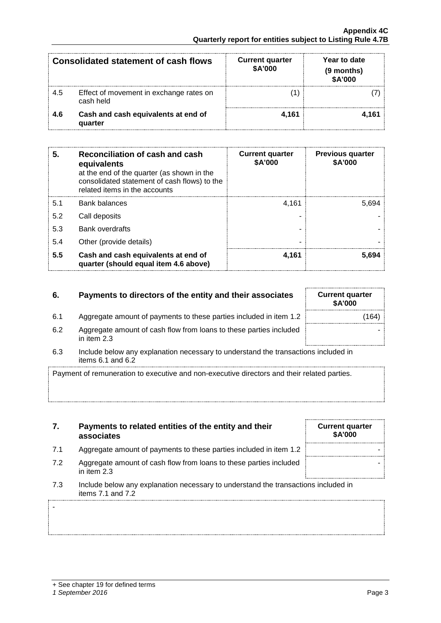-

|     | <b>Consolidated statement of cash flows</b>          | <b>Current quarter</b><br>\$A'000 | Year to date<br>(9 months)<br>\$A'000 |
|-----|------------------------------------------------------|-----------------------------------|---------------------------------------|
| 4.5 | Effect of movement in exchange rates on<br>cash held |                                   |                                       |
| 4.6 | Cash and cash equivalents at end of<br>quarter       | 4.161                             |                                       |

| 5   | Reconciliation of cash and cash<br>equivalents<br>at the end of the quarter (as shown in the<br>consolidated statement of cash flows) to the<br>related items in the accounts | <b>Current quarter</b><br>\$A'000 | <b>Previous quarter</b><br>\$A'000 |
|-----|-------------------------------------------------------------------------------------------------------------------------------------------------------------------------------|-----------------------------------|------------------------------------|
| 5.1 | <b>Bank balances</b>                                                                                                                                                          | 4.161                             | 5.694                              |
| 5.2 | Call deposits                                                                                                                                                                 |                                   |                                    |
| 5.3 | <b>Bank overdrafts</b>                                                                                                                                                        |                                   |                                    |
| 5.4 | Other (provide details)                                                                                                                                                       |                                   |                                    |
| 5.5 | Cash and cash equivalents at end of<br>quarter (should equal item 4.6 above)                                                                                                  | 4.161                             | 5.694                              |

## **6.** Payments to directors of the entity and their associates

- 6.1 Aggregate amount of payments to these parties included in item 1.2
- 6.2 Aggregate amount of cash flow from loans to these parties included in item 2.3
- 6.3 Include below any explanation necessary to understand the transactions included in items 6.1 and 6.2

Payment of remuneration to executive and non-executive directors and their related parties.

- **7. Payments to related entities of the entity and their associates**
- 7.1 Aggregate amount of payments to these parties included in item 1.2
- 7.2 Aggregate amount of cash flow from loans to these parties included in item 2.3
- 7.3 Include below any explanation necessary to understand the transactions included in items 7.1 and 7.2

| <b>Current quarter</b><br>\$A'000 |  |
|-----------------------------------|--|
|                                   |  |
|                                   |  |

| <b>Current quarter</b><br><b>\$A'000</b> |       |
|------------------------------------------|-------|
|                                          | (164) |
|                                          |       |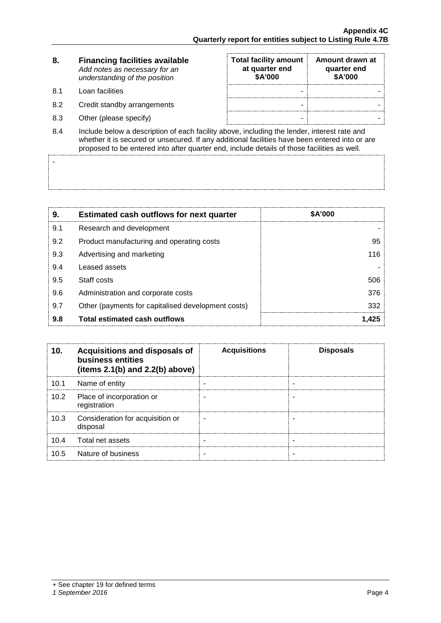| 8. | <b>Financing facilities available</b> |
|----|---------------------------------------|
|    | Add notes as necessary for an         |
|    | understanding of the position         |

8.1 Loan facilities

-

- 8.2 Credit standby arrangements
- 8.3 Other (please specify)

| <b>Total facility amount</b><br>at quarter end<br>\$A'000 | Amount drawn at<br>quarter end<br>\$A'000 |
|-----------------------------------------------------------|-------------------------------------------|
|                                                           |                                           |
|                                                           |                                           |
|                                                           |                                           |

8.4 Include below a description of each facility above, including the lender, interest rate and whether it is secured or unsecured. If any additional facilities have been entered into or are proposed to be entered into after quarter end, include details of those facilities as well.

| 9.  | <b>Estimated cash outflows for next quarter</b>    | <b>\$A'000</b> |
|-----|----------------------------------------------------|----------------|
| 9.1 | Research and development                           |                |
| 9.2 | Product manufacturing and operating costs          | 95             |
| 9.3 | Advertising and marketing                          | 116.           |
| 9.4 | Leased assets                                      |                |
| 9.5 | Staff costs                                        | 506            |
| 9.6 | Administration and corporate costs                 | 376            |
| 9.7 | Other (payments for capitalised development costs) | 332            |
| 9.8 | <b>Total estimated cash outflows</b>               |                |

| 10.  | Acquisitions and disposals of<br>business entities<br>(items $2.1(b)$ and $2.2(b)$ above) | <b>Acquisitions</b> | <b>Disposals</b> |
|------|-------------------------------------------------------------------------------------------|---------------------|------------------|
| 10.1 | Name of entity                                                                            |                     |                  |
| 10.2 | Place of incorporation or<br>registration                                                 |                     |                  |
| 10.3 | Consideration for acquisition or<br>disposal                                              |                     |                  |
| 10.4 | Total net assets                                                                          |                     |                  |
| 1በ 5 | Nature of business                                                                        |                     |                  |